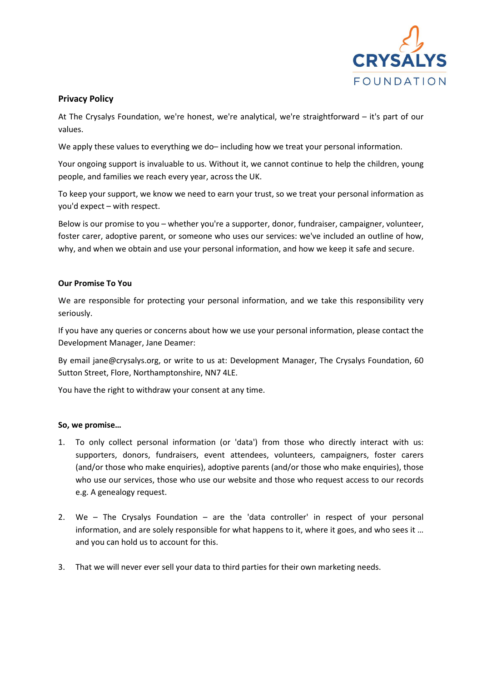

## **Privacy Policy**

At The Crysalys Foundation, we're honest, we're analytical, we're straightforward – it's part of our values.

We apply these values to everything we do– including how we treat your personal information.

Your ongoing support is invaluable to us. Without it, we cannot continue to help the children, young people, and families we reach every year, across the UK.

To keep your support, we know we need to earn your trust, so we treat your personal information as you'd expect – with respect.

Below is our promise to you – whether you're a supporter, donor, fundraiser, campaigner, volunteer, foster carer, adoptive parent, or someone who uses our services: we've included an outline of how, why, and when we obtain and use your personal information, and how we keep it safe and secure.

## **Our Promise To You**

We are responsible for protecting your personal information, and we take this responsibility very seriously.

If you have any queries or concerns about how we use your personal information, please contact the Development Manager, Jane Deamer:

By email jane@crysalys.org, or write to us at: Development Manager, The Crysalys Foundation, 60 Sutton Street, Flore, Northamptonshire, NN7 4LE.

You have the right to withdraw your consent at any time.

## **So, we promise…**

- 1. To only collect personal information (or 'data') from those who directly interact with us: supporters, donors, fundraisers, event attendees, volunteers, campaigners, foster carers (and/or those who make enquiries), adoptive parents (and/or those who make enquiries), those who use our services, those who use our website and those who request access to our records e.g. A genealogy request.
- 2. We The Crysalys Foundation are the 'data controller' in respect of your personal information, and are solely responsible for what happens to it, where it goes, and who sees it … and you can hold us to account for this.
- 3. That we will never ever sell your data to third parties for their own marketing needs.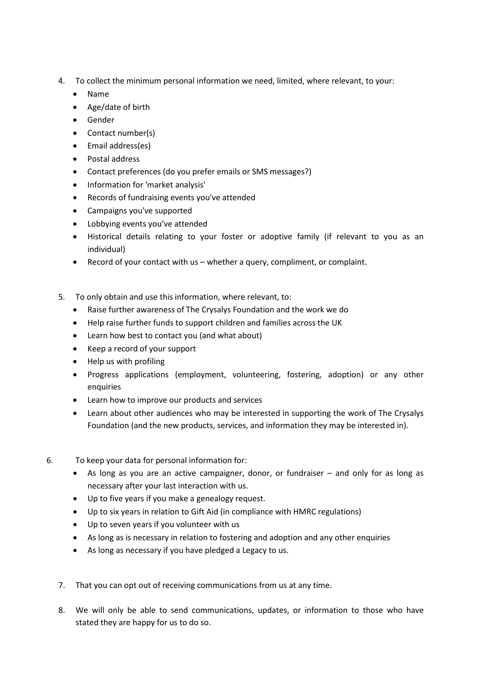- 4. To collect the minimum personal information we need, limited, where relevant, to your:
	- Name
	- Age/date of birth
	- Gender
	- Contact number(s)
	- Email address(es)
	- Postal address
	- Contact preferences (do you prefer emails or SMS messages?)
	- Information for 'market analysis'
	- Records of fundraising events you've attended
	- Campaigns you've supported
	- Lobbying events you've attended
	- Historical details relating to your foster or adoptive family (if relevant to you as an individual)
	- Record of your contact with us whether a query, compliment, or complaint.
- 5. To only obtain and use this information, where relevant, to:
	- Raise further awareness of The Crysalys Foundation and the work we do
	- Help raise further funds to support children and families across the UK
	- Learn how best to contact you (and what about)
	- Keep a record of your support
	- Help us with profiling
	- Progress applications (employment, volunteering, fostering, adoption) or any other enquiries
	- Learn how to improve our products and services
	- Learn about other audiences who may be interested in supporting the work of The Crysalys Foundation (and the new products, services, and information they may be interested in).
- 6. To keep your data for personal information for:
	- As long as you are an active campaigner, donor, or fundraiser and only for as long as necessary after your last interaction with us.
	- Up to five years if you make a genealogy request.
	- Up to six years in relation to Gift Aid (in compliance with HMRC regulations)
	- Up to seven years if you volunteer with us
	- As long as is necessary in relation to fostering and adoption and any other enquiries
	- As long as necessary if you have pledged a Legacy to us.
	- 7. That you can opt out of receiving communications from us at any time.
	- 8. We will only be able to send communications, updates, or information to those who have stated they are happy for us to do so.